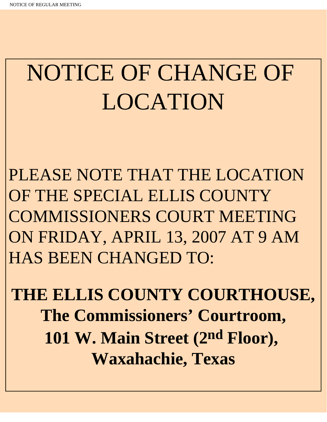# NOTICE OF CHANGE OF LOCATION

PLEASE NOTE THAT THE LOCATION OF THE SPECIAL ELLIS COUNTY COMMISSIONERS COURT MEETING ON FRIDAY, APRIL 13, 2007 AT 9 AM HAS BEEN CHANGED TO:

**THE ELLIS COUNTY COURTHOUSE, The Commissioners' Courtroom, 101 W. Main Street (2nd Floor), Waxahachie, Texas**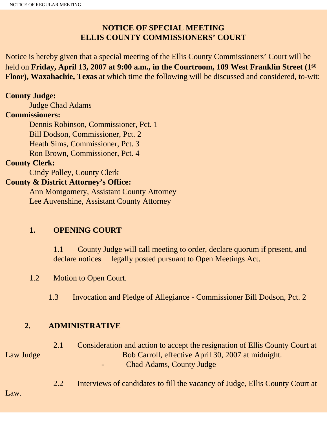## **NOTICE OF SPECIAL MEETING ELLIS COUNTY COMMISSIONERS' COURT**

Notice is hereby given that a special meeting of the Ellis County Commissioners' Court will be held on **Friday, April 13, 2007 at 9:00 a.m., in the Courtroom, 109 West Franklin Street (1st Floor), Waxahachie, Texas** at which time the following will be discussed and considered, to-wit:

#### **County Judge:**

Judge Chad Adams

#### **Commissioners:**

 Dennis Robinson, Commissioner, Pct. 1 Bill Dodson, Commissioner, Pct. 2 Heath Sims, Commissioner, Pct. 3 Ron Brown, Commissioner, Pct. 4

### **County Clerk:**

Cindy Polley, County Clerk

#### **County & District Attorney's Office:**

 Ann Montgomery, Assistant County Attorney Lee Auvenshine, Assistant County Attorney

#### **1. OPENING COURT**

1.1 County Judge will call meeting to order, declare quorum if present, and declare notices legally posted pursuant to Open Meetings Act.

#### 1.2 Motion to Open Court.

1.3 Invocation and Pledge of Allegiance - Commissioner Bill Dodson, Pct. 2

#### **2. ADMINISTRATIVE**

 2.1 Consideration and action to accept the resignation of Ellis County Court at Law Judge Bob Carroll, effective April 30, 2007 at midnight. Chad Adams, County Judge

2.2 Interviews of candidates to fill the vacancy of Judge, Ellis County Court at

Law.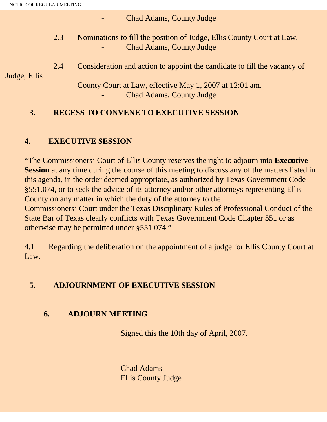Chad Adams, County Judge

 2.3 Nominations to fill the position of Judge, Ellis County Court at Law. Chad Adams, County Judge

 2.4 Consideration and action to appoint the candidate to fill the vacancy of Judge, Ellis

> County Court at Law, effective May 1, 2007 at 12:01 am. Chad Adams, County Judge

## **3. RECESS TO CONVENE TO EXECUTIVE SESSION**

# **4. EXECUTIVE SESSION**

"The Commissioners' Court of Ellis County reserves the right to adjourn into **Executive Session** at any time during the course of this meeting to discuss any of the matters listed in this agenda, in the order deemed appropriate, as authorized by Texas Government Code §551.074**,** or to seek the advice of its attorney and/or other attorneys representing Ellis County on any matter in which the duty of the attorney to the Commissioners' Court under the Texas Disciplinary Rules of Professional Conduct of the State Bar of Texas clearly conflicts with Texas Government Code Chapter 551 or as otherwise may be permitted under §551.074."

4.1 Regarding the deliberation on the appointment of a judge for Ellis County Court at Law.

# **5. ADJOURNMENT OF EXECUTIVE SESSION**

## **6. ADJOURN MEETING**

Signed this the 10th day of April, 2007.

\_\_\_\_\_\_\_\_\_\_\_\_\_\_\_\_\_\_\_\_\_\_\_\_\_\_\_\_\_\_\_\_\_\_\_

Chad Adams Ellis County Judge